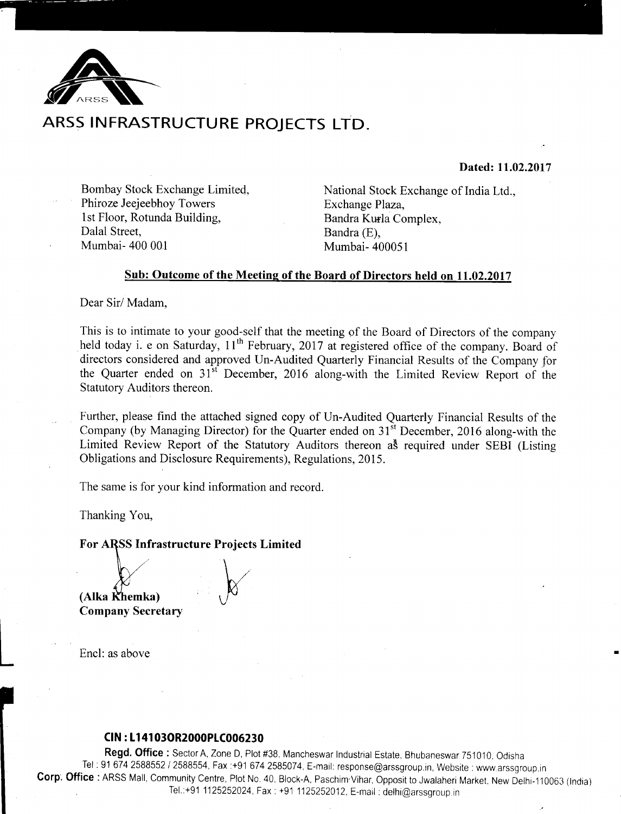

# ARSS INFRASTRUCTURE PROJECTS LTD.

## Dated: 11.02.2017

Bombay Stock Exchange Limited. Phiroze Jeejeebhoy Towers 1st Floor, Rotunda Building, Dalal Street. Mumbai-400 001

National Stock Exchange of India Ltd., Exchange Plaza, Bandra Kurla Complex, Bandra (E), Mumbai- 400051

## Sub: Outcome of the Meeting of the Board of Directors held on 11.02.2017

Dear Sir/Madam,

This is to intimate to your good-self that the meeting of the Board of Directors of the company held today i. e on Saturday, 11<sup>th</sup> February, 2017 at registered office of the company. Board of directors considered and approved Un-Audited Quarterly Financial Results of the Company for the Quarter ended on 31<sup>st</sup> December, 2016 along-with the Limited Review Report of the Statutory Auditors thereon.

Further, please find the attached signed copy of Un-Audited Quarterly Financial Results of the Company (by Managing Director) for the Quarter ended on 31<sup>st</sup> December, 2016 along-with the Limited Review Report of the Statutory Auditors thereon as required under SEBI (Listing Obligations and Disclosure Requirements), Regulations, 2015.

The same is for your kind information and record.

Thanking You,

For ARSS Infrastructure Projects Limited

(Alka Khemka) **Company Secretary** 

Encl: as above

### CIN: L14103OR2000PLC006230

Regd. Office: Sector A, Zone D, Plot #38, Mancheswar Industrial Estate. Bhubaneswar 751010. Odisha Tel: 91 674 2588552 / 2588554, Fax:+91 674 2585074, E-mail: response@arssgroup.in, Website: www.arssgroup.in Corp. Office: ARSS Mall, Community Centre, Plot No. 40, Block-A, Paschim Vihar, Opposit to Jwalaheri Market, New Delhi-110063 (India) Tel.:+91 1125252024, Fax: +91 1125252012, E-mail: delhi@arssgroup.in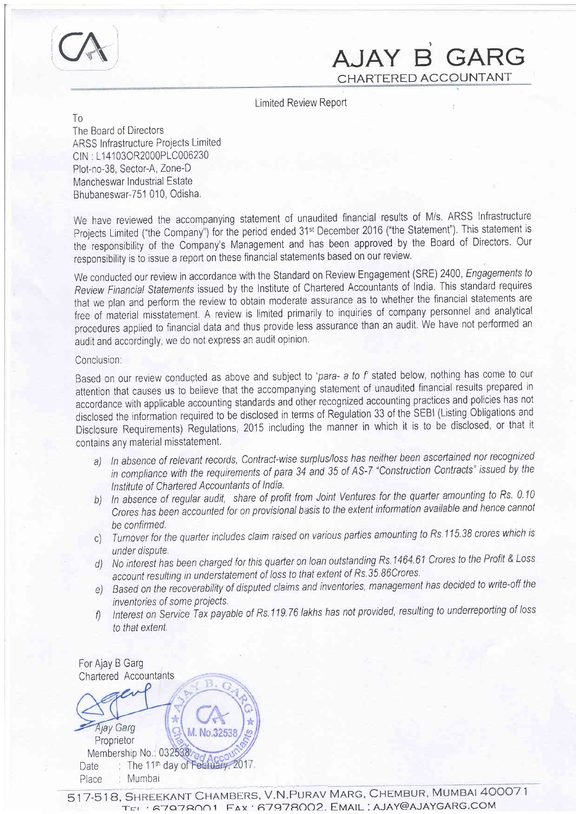

# AJAY B GARG CHARTERED ACCOUNTANT

Limited Review Report

To

The Board of Directors ARSS Infrastructure Projects Limited CIN: L14103OR2000PLC006230 Plot-no-38, Sector-A, Zone-D Mancheswar Industrial Estate Bhubaneswar-751 010, Odisha.

We have reviewed the accompanying statement of unaudited financial results of M/s. ARSS Infrastructure Projects Limited ("the Company") for the period ended 31st December 2016 ("the Statement"). This statement is the responsibility of the Company's Management and has been approved by the Board of Directors. Our responsibility is fo issue a repoft on these financial statements based on our review.

We conducted our review in accordance with the Standard on Review Engagement (SRE) 2400, Engagements to Review Financial Statements issued by the Institute of Chartered Accountants of India. This standard requires that we plan and perform the review to obtain moderate assurance as to whether the financial statements are free of material misstatement. A review is limited primarily to inquiries of company personnel and analytical procedures applied to financial data and thus provide less assurance than an audit. We have not performed an audit and accordingly, we do not express an audit opinion.

### Conclusion:

Based on our review conducted as above and subject to 'para- a to f' stated below, nothing has come to our attention that causes us to believe that the accompanying statement of unaudited financial results prepared tn accordance with applicable accounting standards and other recognized accounting practices and policies has not disclosed the information required to be disclosed in terms of Regulation 33 of the SEBI (Listing Obligations and Disclosure Requirements) Regulations,2015 including the manner in which it is to be disclosed, or that it contains any material misstatement,

- a) In absence of relevant records, Contract-wise surplus/loss has neither been ascertained nor recognized in compliance with the requirements of para 34 and 35 of AS-7 "Construction Contracts" issued by the lnstitute of Chartered Accountants of lndia,
- b) In absence of regular audit, share of profit from Joint Ventures for the quarter amounting to Rs. 0.10 Crores has been accounted for on provisional basis to the extent information available and hence cannot be confirmed,
- c) Turnover for the quarter includes claim raised on various parties amounting to Rs. 115.38 crores which is under dispute.
- d) No interest has been charged for this quarter on loan outstanding Rs.1464.61 Crores to the Profit & Loss account resulting in understatement of loss to that extent of Rs.35.86Crores.
- e) Based on the recoverability of disputed claims and inventories, management has decided to write-off the inventories of some projects.
- f) Interest on Service Tax payable of Rs. 119.76 lakhs has not provided, resulting to underreporting of loss to that extent

For Ajay B Garg Charlered Accountants ÷ Ajay Garg M. No.3253 Proprietor Membership No.: 032538. Date  $\therefore$  The 11<sup>th</sup> day Place : Mumbai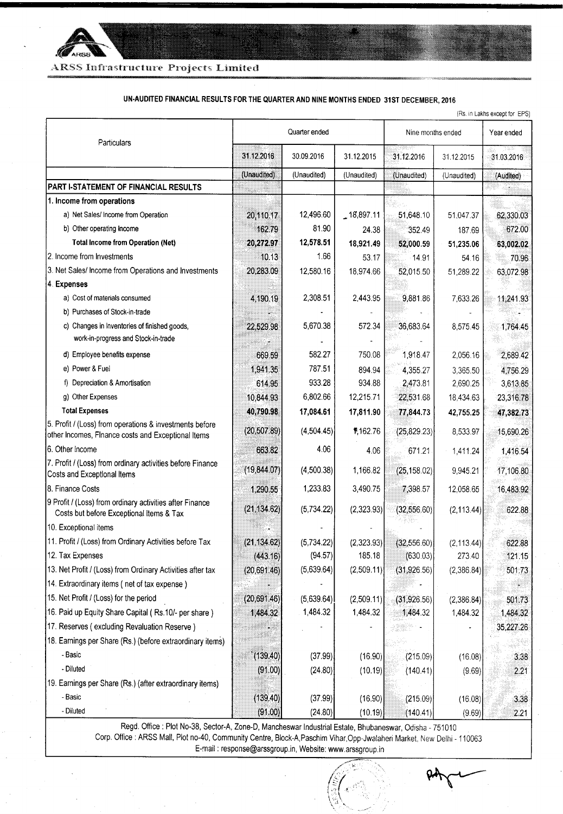

ARSS Infrastructure Projects Limited

### UN-AUDITED FINANCIAL RESULTS FOR THE QUARTER AND NINE MONTHS ENDED 31ST DECEMBER, 2016

| (Rs. in Lakhs except for EPS)                                                                                 |               |             |                 |                   |             |            |
|---------------------------------------------------------------------------------------------------------------|---------------|-------------|-----------------|-------------------|-------------|------------|
| Particulars                                                                                                   | Quarter ended |             |                 | Nine months ended |             | Year ended |
|                                                                                                               | 31.12.2016    | 30.09.2016  | 31.12.2015      | 31.12.2016        | 31.12.2015  | 31.03.2016 |
|                                                                                                               | (Unaudited)   | (Unaudited) | (Unaudited)     | (Unaudited)       | (Unaudited) | (Audited)  |
| PART I-STATEMENT OF FINANCIAL RESULTS                                                                         |               |             |                 |                   |             |            |
| 1. Income from operations                                                                                     |               |             |                 |                   |             |            |
| a) Net Sales/ Income from Operation                                                                           | 20,110.17     | 12,496.60   | $-18,897.11$    | 51,648.10         | 51,047.37   | 62,330.03  |
| b) Other operating Income                                                                                     | 162.79        | 81.90       | 24.38           | 352.49            | 187.69      | 672.00     |
| <b>Total Income from Operation (Net)</b>                                                                      | 20,272.97     | 12,578.51   | 18,921.49       | 52,000.59         | 51,235.06   | 63,002.02  |
| 2. Income from Investments                                                                                    | 10.13         | 1.66        | 53.17           | 14.91             | 54.16       | 70.96      |
| 3. Net Sales/ Income from Operations and Investments                                                          | 20,283.09     | 12,580.16   | 18,974.66       | 52,015.50         | 51,289.22   | 63,072.98  |
| 4. Expenses                                                                                                   |               |             |                 |                   |             |            |
| a) Cost of materials consumed                                                                                 | 4,190.19      | 2,308.51    | 2,443.95        | 9,881.86          | 7,633.26    | 11,241.93  |
| b) Purchases of Stock-in-trade                                                                                |               |             |                 |                   |             |            |
| c) Changes in Inventories of finished goods,<br>work-in-progress and Stock-in-trade                           | 22,529.98     | 5,670.38    | 572.34          | 36,683.64         | 8,575.45    | 1,764.45   |
| d) Employee benefits expense                                                                                  | 669.59        | 582.27      | 750.08          | 1,918.47          | 2,056.16    | 2,689.42   |
| e) Power & Fuei                                                                                               | 1,941.35      | 787.51      | 894.94          | 4,355.27          | 3,365.50    | 4,756.29   |
| f) Depreciation & Amortisation                                                                                | 614.95        | 933.28      | 934.88          | 2,473.81          | 2,690.25    | 3,613.85   |
| g) Other Expenses                                                                                             | 10,844.93     | 6,802.66    | 12,215.71       | 22,531.68         | 18,434.63   | 23,316.78  |
| <b>Total Expenses</b>                                                                                         | 40,790.98     | 17,084.61   | 17,811.90       | 77,844.73         | 42,755.25   | 47,382.73  |
| 5. Profit / (Loss) from operations & investments before<br>other Incomes, Finance costs and Exceptional Items | (20, 507.89)  | (4,504.45)  | 1,162.76        | (25, 829.23)      | 8,533.97    | 15,690.26  |
| 6. Other Income                                                                                               | 663.82        | 4.06        | 4.06            | 671.21            | 1,411.24    | 1,416.54   |
| 7. Profit / (Loss) from ordinary activities before Finance<br>Costs and Exceptional Items                     | (19, 844.07)  | (4,500.38)  | 1,166.82        | (25, 158.02)      | 9,945.21    | 17,106.80  |
| 8. Finance Costs                                                                                              | 1,290.55      | 1,233.83    | 3,490.75        | 7,398.57          | 12,058.65   | 16,483.92  |
| 9 Profit / (Loss) from ordinary activities after Finance<br>Costs but before Exceptional Items & Tax          | (21, 134.62)  | (5,734.22)  | (2,323.93)      | (32,556.60)       | (2, 113.44) | 622.88     |
| 10. Exceptional items                                                                                         |               |             |                 |                   |             |            |
| 11. Profit / (Loss) from Ordinary Activities before Tax                                                       | (21, 134.62)  | (5,734.22)  | (2,323.93)      | (32, 556.60)      | (2, 113.44) | 622.88     |
| 12. Tax Expenses                                                                                              | (443.16)      | (94.57)     | 185.18          | (630.03)          | 273.40      | 121.15     |
| 13. Net Profit / (Loss) from Ordinary Activities after tax                                                    | (20, 691, 46) | (5,639.64)  | (2,509.11)      | (31,926.56)       | (2,386.84)  | 501.73     |
| 14. Extraordinary items (net of tax expense)                                                                  |               |             |                 |                   |             |            |
| 15. Net Profit / (Loss) for the period                                                                        | (20, 691.46)  | (5,639.64)  | (2,509.11)      | (31,926.56)       | (2,386.84)  | 501.73     |
| 16. Paid up Equity Share Capital (Rs.10/- per share)                                                          | 1,484.32      | 1,484.32    | 1,484.32        | 1,484.32          | 1,484.32    | 1,484.32   |
| 17. Reserves (excluding Revaluation Reserve)                                                                  |               |             |                 |                   |             | 35,227.26  |
| 18. Earnings per Share (Rs.) (before extraordinary items)                                                     |               |             |                 |                   |             |            |
| - Basic                                                                                                       | (139.40)      | (37.99)     | (16.90)         | (215.09)          | (16.08)     | 3.38       |
| - Diluted                                                                                                     | (91.00)       | (24.80)     | (10.19)         | (140.41)          | (9.69)      | 2.21       |
| 19. Earnings per Share (Rs.) (after extraordinary items)                                                      |               |             |                 |                   |             |            |
| - Basic                                                                                                       | (139.40)      | (37.99)     | (16.90)         | (215.09)          | (16.08)     | 3.38       |
| - Diluted                                                                                                     | (91.00)       | (24.80)     | (10.19)         | (140.41)          | (9.69)      | 2.21       |
| Read Office: Plot No.38, Sector A, Zone D, Mancheswar Industrial Estate                                       |               |             | Dh <sub>u</sub> |                   |             |            |

Regd. Office : Plot No-38, Sector-A, Zone-D, Mancheswar Industrial Estate, Bhubaneswar, Odisha - 751010<br>Corp. Office : ARSS Mall, Plot no-40, Community Centre, Block-A, Paschim Vihar, Opp-Jwalaheri Market, New Delhi - 1100 E-mail: response@arssgroup.in, Website: www.arssgroup.in